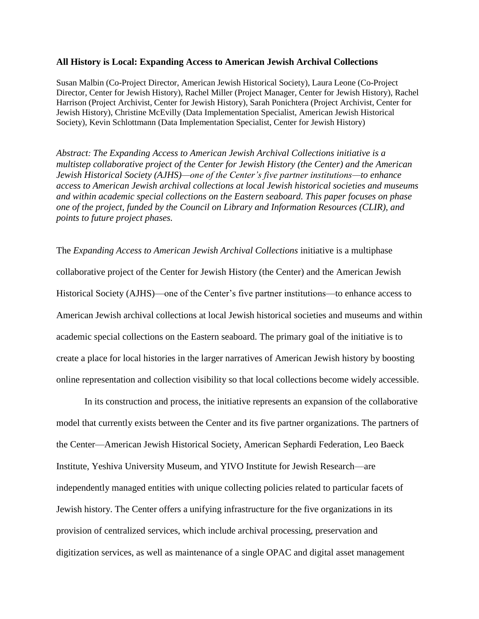## **All History is Local: Expanding Access to American Jewish Archival Collections**

Susan Malbin (Co-Project Director, American Jewish Historical Society), Laura Leone (Co-Project Director, Center for Jewish History), Rachel Miller (Project Manager, Center for Jewish History), Rachel Harrison (Project Archivist, Center for Jewish History), Sarah Ponichtera (Project Archivist, Center for Jewish History), Christine McEvilly (Data Implementation Specialist, American Jewish Historical Society), Kevin Schlottmann (Data Implementation Specialist, Center for Jewish History)

*Abstract: The Expanding Access to American Jewish Archival Collections initiative is a multistep collaborative project of the Center for Jewish History (the Center) and the American Jewish Historical Society (AJHS)—one of the Center's five partner institutions—to enhance access to American Jewish archival collections at local Jewish historical societies and museums and within academic special collections on the Eastern seaboard. This paper focuses on phase one of the project, funded by the Council on Library and Information Resources (CLIR), and points to future project phases.*

The *Expanding Access to American Jewish Archival Collections* initiative is a multiphase collaborative project of the Center for Jewish History (the Center) and the American Jewish Historical Society (AJHS)—one of the Center's five partner institutions—to enhance access to American Jewish archival collections at local Jewish historical societies and museums and within academic special collections on the Eastern seaboard. The primary goal of the initiative is to create a place for local histories in the larger narratives of American Jewish history by boosting online representation and collection visibility so that local collections become widely accessible.

In its construction and process, the initiative represents an expansion of the collaborative model that currently exists between the Center and its five partner organizations. The partners of the Center—American Jewish Historical Society, American Sephardi Federation, Leo Baeck Institute, Yeshiva University Museum, and YIVO Institute for Jewish Research—are independently managed entities with unique collecting policies related to particular facets of Jewish history. The Center offers a unifying infrastructure for the five organizations in its provision of centralized services, which include archival processing, preservation and digitization services, as well as maintenance of a single OPAC and digital asset management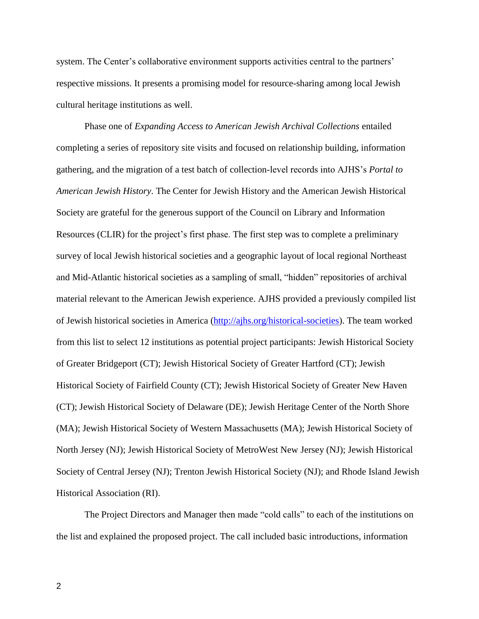system. The Center's collaborative environment supports activities central to the partners' respective missions. It presents a promising model for resource-sharing among local Jewish cultural heritage institutions as well.

Phase one of *Expanding Access to American Jewish Archival Collections* entailed completing a series of repository site visits and focused on relationship building, information gathering, and the migration of a test batch of collection-level records into AJHS's *Portal to American Jewish History*. The Center for Jewish History and the American Jewish Historical Society are grateful for the generous support of the Council on Library and Information Resources (CLIR) for the project's first phase. The first step was to complete a preliminary survey of local Jewish historical societies and a geographic layout of local regional Northeast and Mid-Atlantic historical societies as a sampling of small, "hidden" repositories of archival material relevant to the American Jewish experience. AJHS provided a previously compiled list of Jewish historical societies in America [\(http://ajhs.org/historical-societies\)](http://ajhs.org/historical-societies). The team worked from this list to select 12 institutions as potential project participants: Jewish Historical Society of Greater Bridgeport (CT); Jewish Historical Society of Greater Hartford (CT); Jewish Historical Society of Fairfield County (CT); Jewish Historical Society of Greater New Haven (CT); Jewish Historical Society of Delaware (DE); Jewish Heritage Center of the North Shore (MA); Jewish Historical Society of Western Massachusetts (MA); Jewish Historical Society of North Jersey (NJ); Jewish Historical Society of MetroWest New Jersey (NJ); Jewish Historical Society of Central Jersey (NJ); Trenton Jewish Historical Society (NJ); and Rhode Island Jewish Historical Association (RI).

The Project Directors and Manager then made "cold calls" to each of the institutions on the list and explained the proposed project. The call included basic introductions, information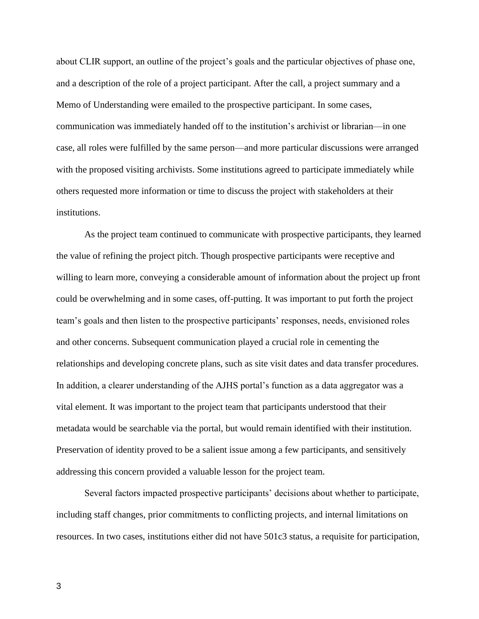about CLIR support, an outline of the project's goals and the particular objectives of phase one, and a description of the role of a project participant. After the call, a project summary and a Memo of Understanding were emailed to the prospective participant. In some cases, communication was immediately handed off to the institution's archivist or librarian—in one case, all roles were fulfilled by the same person—and more particular discussions were arranged with the proposed visiting archivists. Some institutions agreed to participate immediately while others requested more information or time to discuss the project with stakeholders at their institutions.

As the project team continued to communicate with prospective participants, they learned the value of refining the project pitch. Though prospective participants were receptive and willing to learn more, conveying a considerable amount of information about the project up front could be overwhelming and in some cases, off-putting. It was important to put forth the project team's goals and then listen to the prospective participants' responses, needs, envisioned roles and other concerns. Subsequent communication played a crucial role in cementing the relationships and developing concrete plans, such as site visit dates and data transfer procedures. In addition, a clearer understanding of the AJHS portal's function as a data aggregator was a vital element. It was important to the project team that participants understood that their metadata would be searchable via the portal, but would remain identified with their institution. Preservation of identity proved to be a salient issue among a few participants, and sensitively addressing this concern provided a valuable lesson for the project team.

Several factors impacted prospective participants' decisions about whether to participate, including staff changes, prior commitments to conflicting projects, and internal limitations on resources. In two cases, institutions either did not have 501c3 status, a requisite for participation,

3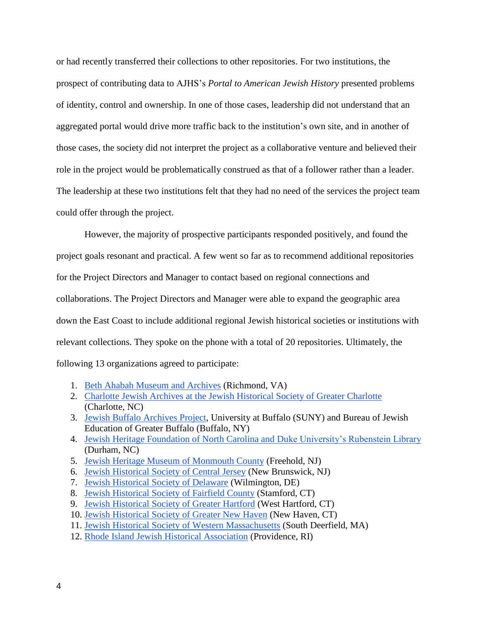or had recently transferred their collections to other repositories. For two institutions, the prospect of contributing data to AJHS's *Portal to American Jewish History* presented problems of identity, control and ownership. In one of those cases, leadership did not understand that an aggregated portal would drive more traffic back to the institution's own site, and in another of those cases, the society did not interpret the project as a collaborative venture and believed their role in the project would be problematically construed as that of a follower rather than a leader. The leadership at these two institutions felt that they had no need of the services the project team could offer through the project.

However, the majority of prospective participants responded positively, and found the project goals resonant and practical. A few went so far as to recommend additional repositories for the Project Directors and Manager to contact based on regional connections and collaborations. The Project Directors and Manager were able to expand the geographic area down the East Coast to include additional regional Jewish historical societies or institutions with relevant collections. They spoke on the phone with a total of 20 repositories. Ultimately, the following 13 organizations agreed to participate:

- 1. [Beth Ahabah Museum and Archives](https://bethahabah.org/bama/) (Richmond, VA)
- 2. [Charlotte Jewish Archives at the Jewish Historical Society of Greater Charlotte](http://www.levine-sklutjudaiclibrary.org/index-content-jewish_historical_society.htm) (Charlotte, NC)
- 3. [Jewish Buffalo Archives Project,](http://library.buffalo.edu/archives/jbap/) University at Buffalo (SUNY) and Bureau of Jewish Education of Greater Buffalo (Buffalo, NY)
- 4. [Jewish Heritage Foundation of North Carolina and Duke University's Rubenstein Library](http://jhfnc.org/) (Durham, NC)
- 5. [Jewish Heritage Museum of Monmouth County](http://jhmomc.org/site/) (Freehold, NJ)
- 6. [Jewish Historical Society of Central Jersey](http://www.jewishgen.org/jhscj/) (New Brunswick, NJ)
- 7. [Jewish Historical Society of Delaware](http://jhsdelaware.org/) (Wilmington, DE)
- 8. [Jewish Historical Society of Fairfield County](http://jhsfc-ct.org/) (Stamford, CT)
- 9. [Jewish Historical Society of Greater Hartford](http://jhsgh.org/) (West Hartford, CT)
- 10. [Jewish Historical Society of Greater New Haven](http://www.jhsgnh.org/) (New Haven, CT)
- 11. [Jewish Historical Society of Western Massachusetts](http://www.jhswm.org/) (South Deerfield, MA)
- 12. [Rhode Island Jewish Historical Association](http://www.rijha.org/) (Providence, RI)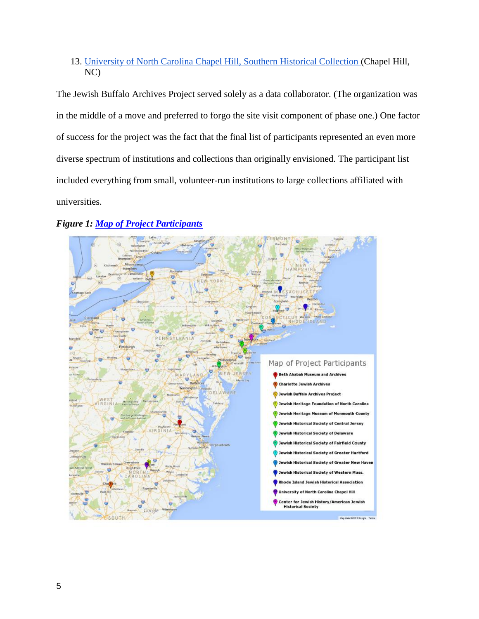## 13. [University of North Carolina Chapel Hill, Southern Historical Collection \(](http://library.unc.edu/wilson/shc/)Chapel Hill, NC)

The Jewish Buffalo Archives Project served solely as a data collaborator. (The organization was in the middle of a move and preferred to forgo the site visit component of phase one.) One factor of success for the project was the fact that the final list of participants represented an even more diverse spectrum of institutions and collections than originally envisioned. The participant list included everything from small, volunteer-run institutions to large collections affiliated with universities.



## *Figure 1: [Map of Project Participants](https://www.google.com/maps/d/viewer?mid=zqkKKKRy-Cyg.k82RqmJ-LXv8)*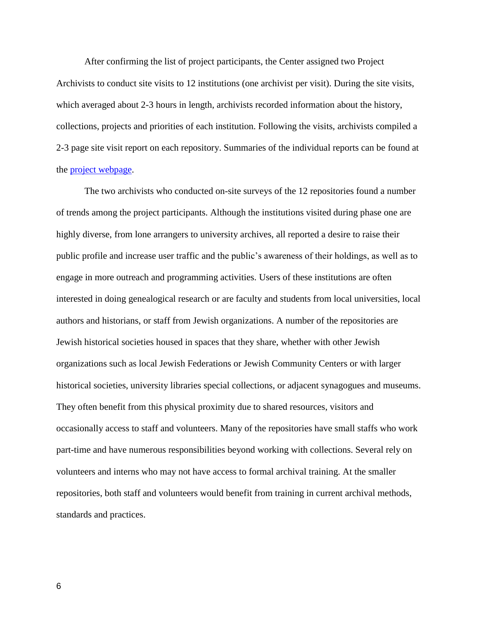After confirming the list of project participants, the Center assigned two Project Archivists to conduct site visits to 12 institutions (one archivist per visit). During the site visits, which averaged about 2-3 hours in length, archivists recorded information about the history, collections, projects and priorities of each institution. Following the visits, archivists compiled a 2-3 page site visit report on each repository. Summaries of the individual reports can be found at the [project webpage.](http://www.jewsinamerica.org/content/site-visit-report-summaries)

The two archivists who conducted on-site surveys of the 12 repositories found a number of trends among the project participants. Although the institutions visited during phase one are highly diverse, from lone arrangers to university archives, all reported a desire to raise their public profile and increase user traffic and the public's awareness of their holdings, as well as to engage in more outreach and programming activities. Users of these institutions are often interested in doing genealogical research or are faculty and students from local universities, local authors and historians, or staff from Jewish organizations. A number of the repositories are Jewish historical societies housed in spaces that they share, whether with other Jewish organizations such as local Jewish Federations or Jewish Community Centers or with larger historical societies, university libraries special collections, or adjacent synagogues and museums. They often benefit from this physical proximity due to shared resources, visitors and occasionally access to staff and volunteers. Many of the repositories have small staffs who work part-time and have numerous responsibilities beyond working with collections. Several rely on volunteers and interns who may not have access to formal archival training. At the smaller repositories, both staff and volunteers would benefit from training in current archival methods, standards and practices.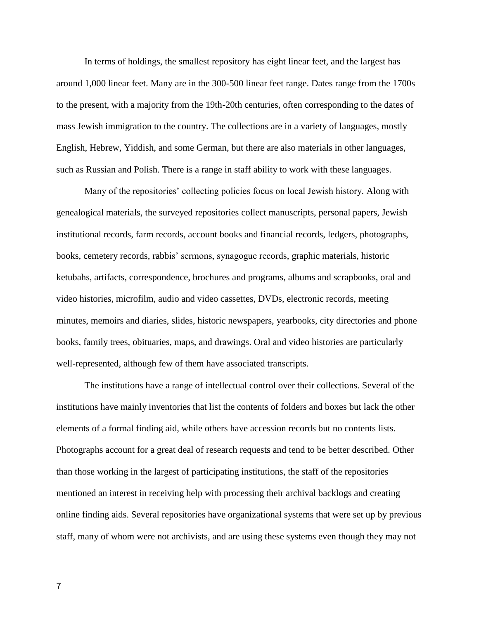In terms of holdings, the smallest repository has eight linear feet, and the largest has around 1,000 linear feet. Many are in the 300-500 linear feet range. Dates range from the 1700s to the present, with a majority from the 19th-20th centuries, often corresponding to the dates of mass Jewish immigration to the country. The collections are in a variety of languages, mostly English, Hebrew, Yiddish, and some German, but there are also materials in other languages, such as Russian and Polish. There is a range in staff ability to work with these languages.

Many of the repositories' collecting policies focus on local Jewish history. Along with genealogical materials, the surveyed repositories collect manuscripts, personal papers, Jewish institutional records, farm records, account books and financial records, ledgers, photographs, books, cemetery records, rabbis' sermons, synagogue records, graphic materials, historic ketubahs, artifacts, correspondence, brochures and programs, albums and scrapbooks, oral and video histories, microfilm, audio and video cassettes, DVDs, electronic records, meeting minutes, memoirs and diaries, slides, historic newspapers, yearbooks, city directories and phone books, family trees, obituaries, maps, and drawings. Oral and video histories are particularly well-represented, although few of them have associated transcripts.

The institutions have a range of intellectual control over their collections. Several of the institutions have mainly inventories that list the contents of folders and boxes but lack the other elements of a formal finding aid, while others have accession records but no contents lists. Photographs account for a great deal of research requests and tend to be better described. Other than those working in the largest of participating institutions, the staff of the repositories mentioned an interest in receiving help with processing their archival backlogs and creating online finding aids. Several repositories have organizational systems that were set up by previous staff, many of whom were not archivists, and are using these systems even though they may not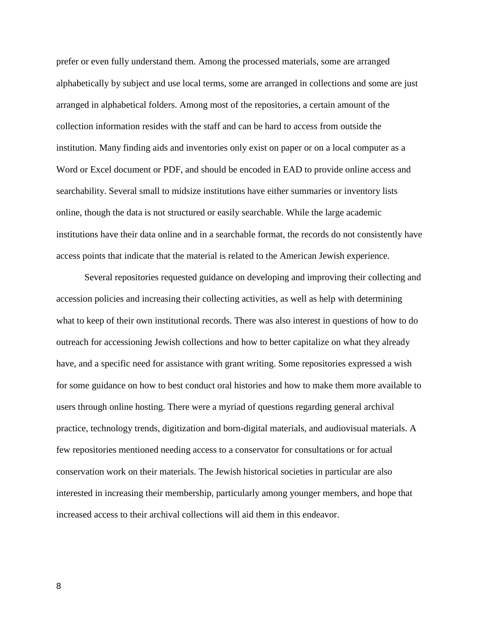prefer or even fully understand them. Among the processed materials, some are arranged alphabetically by subject and use local terms, some are arranged in collections and some are just arranged in alphabetical folders. Among most of the repositories, a certain amount of the collection information resides with the staff and can be hard to access from outside the institution. Many finding aids and inventories only exist on paper or on a local computer as a Word or Excel document or PDF, and should be encoded in EAD to provide online access and searchability. Several small to midsize institutions have either summaries or inventory lists online, though the data is not structured or easily searchable. While the large academic institutions have their data online and in a searchable format, the records do not consistently have access points that indicate that the material is related to the American Jewish experience.

Several repositories requested guidance on developing and improving their collecting and accession policies and increasing their collecting activities, as well as help with determining what to keep of their own institutional records. There was also interest in questions of how to do outreach for accessioning Jewish collections and how to better capitalize on what they already have, and a specific need for assistance with grant writing. Some repositories expressed a wish for some guidance on how to best conduct oral histories and how to make them more available to users through online hosting. There were a myriad of questions regarding general archival practice, technology trends, digitization and born-digital materials, and audiovisual materials. A few repositories mentioned needing access to a conservator for consultations or for actual conservation work on their materials. The Jewish historical societies in particular are also interested in increasing their membership, particularly among younger members, and hope that increased access to their archival collections will aid them in this endeavor.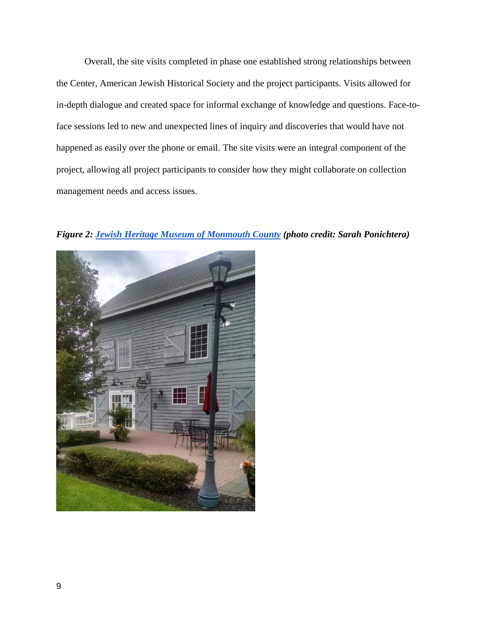Overall, the site visits completed in phase one established strong relationships between the Center, American Jewish Historical Society and the project participants. Visits allowed for in-depth dialogue and created space for informal exchange of knowledge and questions. Face-toface sessions led to new and unexpected lines of inquiry and discoveries that would have not happened as easily over the phone or email. The site visits were an integral component of the project, allowing all project participants to consider how they might collaborate on collection management needs and access issues.



*Figure 2: [Jewish Heritage Museum of Monmouth County](http://jhmomc.org/site/) (photo credit: Sarah Ponichtera)*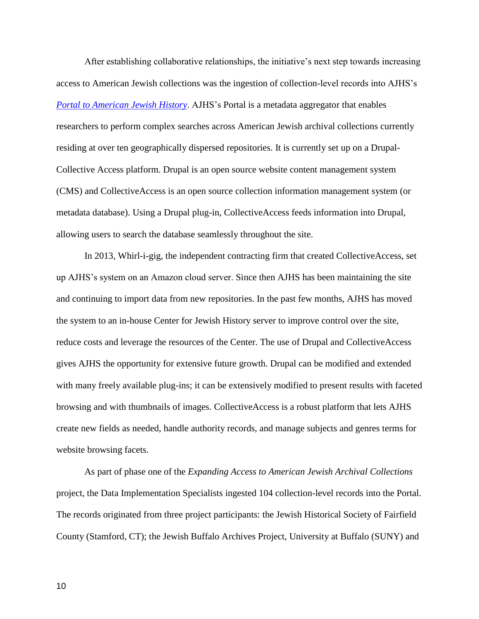After establishing collaborative relationships, the initiative's next step towards increasing access to American Jewish collections was the ingestion of collection-level records into AJHS's *[Portal to American Jewish History](http://www.jewsinamerica.org/)*. AJHS's Portal is a metadata aggregator that enables researchers to perform complex searches across American Jewish archival collections currently residing at over ten geographically dispersed repositories. It is currently set up on a Drupal-Collective Access platform. Drupal is an open source website content management system (CMS) and CollectiveAccess is an open source collection information management system (or metadata database). Using a Drupal plug-in, CollectiveAccess feeds information into Drupal, allowing users to search the database seamlessly throughout the site.

In 2013, Whirl-i-gig, the independent contracting firm that created CollectiveAccess, set up AJHS's system on an Amazon cloud server. Since then AJHS has been maintaining the site and continuing to import data from new repositories. In the past few months, AJHS has moved the system to an in-house Center for Jewish History server to improve control over the site, reduce costs and leverage the resources of the Center. The use of Drupal and CollectiveAccess gives AJHS the opportunity for extensive future growth. Drupal can be modified and extended with many freely available plug-ins; it can be extensively modified to present results with faceted browsing and with thumbnails of images. CollectiveAccess is a robust platform that lets AJHS create new fields as needed, handle authority records, and manage subjects and genres terms for website browsing facets.

As part of phase one of the *Expanding Access to American Jewish Archival Collections* project, the Data Implementation Specialists ingested 104 collection-level records into the Portal. The records originated from three project participants: the Jewish Historical Society of Fairfield County (Stamford, CT); the Jewish Buffalo Archives Project, University at Buffalo (SUNY) and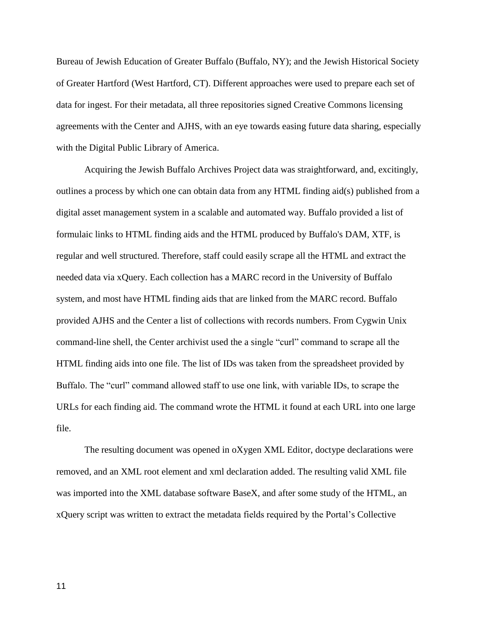Bureau of Jewish Education of Greater Buffalo (Buffalo, NY); and the Jewish Historical Society of Greater Hartford (West Hartford, CT). Different approaches were used to prepare each set of data for ingest. For their metadata, all three repositories signed Creative Commons licensing agreements with the Center and AJHS, with an eye towards easing future data sharing, especially with the Digital Public Library of America.

Acquiring the Jewish Buffalo Archives Project data was straightforward, and, excitingly, outlines a process by which one can obtain data from any HTML finding aid(s) published from a digital asset management system in a scalable and automated way. Buffalo provided a list of formulaic links to HTML finding aids and the HTML produced by Buffalo's DAM, XTF, is regular and well structured. Therefore, staff could easily scrape all the HTML and extract the needed data via xQuery. Each collection has a MARC record in the University of Buffalo system, and most have HTML finding aids that are linked from the MARC record. Buffalo provided AJHS and the Center a list of collections with records numbers. From Cygwin Unix command-line shell, the Center archivist used the a single "curl" command to scrape all the HTML finding aids into one file. The list of IDs was taken from the spreadsheet provided by Buffalo. The "curl" command allowed staff to use one link, with variable IDs, to scrape the URLs for each finding aid. The command wrote the HTML it found at each URL into one large file.

The resulting document was opened in oXygen XML Editor, doctype declarations were removed, and an XML root element and xml declaration added. The resulting valid XML file was imported into the XML database software BaseX, and after some study of the HTML, an xQuery script was written to extract the metadata fields required by the Portal's Collective

11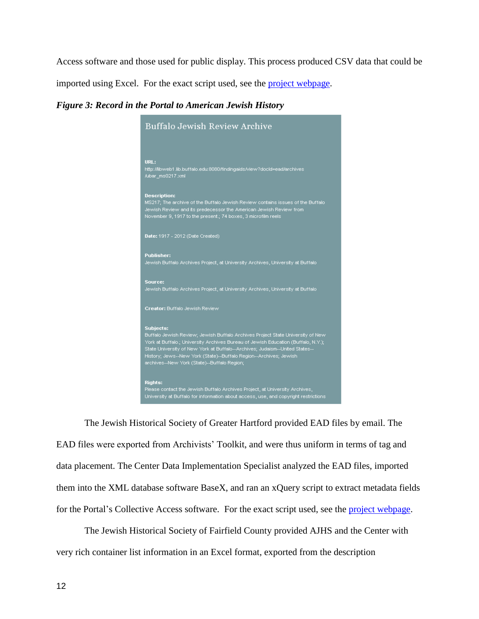Access software and those used for public display. This process produced CSV data that could be

imported using Excel. For the exact script used, see the [project webpage.](http://jewsinamerica.org/content/data-transfer-strategies)

*Figure 3: Record in the Portal to American Jewish History*



The Jewish Historical Society of Greater Hartford provided EAD files by email. The EAD files were exported from Archivists' Toolkit, and were thus uniform in terms of tag and data placement. The Center Data Implementation Specialist analyzed the EAD files, imported them into the XML database software BaseX, and ran an xQuery script to extract metadata fields for the Portal's Collective Access software. For the exact script used, see the [project webpage.](http://jewsinamerica.org/content/data-transfer-strategies)

The Jewish Historical Society of Fairfield County provided AJHS and the Center with very rich container list information in an Excel format, exported from the description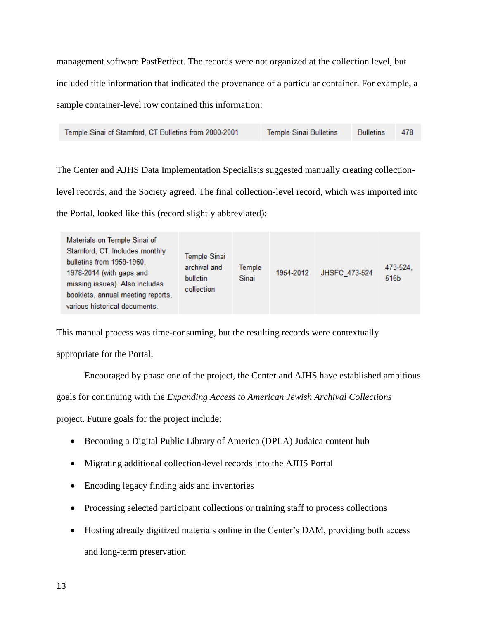management software PastPerfect. The records were not organized at the collection level, but included title information that indicated the provenance of a particular container. For example, a sample container-level row contained this information:

| Temple Sinai of Stamford, CT Bulletins from 2000-2001 | <b>Temple Sinai Bulletins</b> | <b>Bulletins</b> | - 478 |
|-------------------------------------------------------|-------------------------------|------------------|-------|
|-------------------------------------------------------|-------------------------------|------------------|-------|

The Center and AJHS Data Implementation Specialists suggested manually creating collectionlevel records, and the Society agreed. The final collection-level record, which was imported into the Portal, looked like this (record slightly abbreviated):

| Materials on Temple Sinai of<br>Stamford, CT. Includes monthly<br>bulletins from 1959-1960,<br>1978-2014 (with gaps and<br>missing issues). Also includes<br>booklets, annual meeting reports,<br>various historical documents. | <b>Temple Sinai</b><br>archival and<br>bulletin<br>collection | Temple<br>Sinai | 1954-2012 | JHSFC 473-524 | 473-524.<br>516b |
|---------------------------------------------------------------------------------------------------------------------------------------------------------------------------------------------------------------------------------|---------------------------------------------------------------|-----------------|-----------|---------------|------------------|
|---------------------------------------------------------------------------------------------------------------------------------------------------------------------------------------------------------------------------------|---------------------------------------------------------------|-----------------|-----------|---------------|------------------|

This manual process was time-consuming, but the resulting records were contextually

appropriate for the Portal.

Encouraged by phase one of the project, the Center and AJHS have established ambitious

goals for continuing with the *Expanding Access to American Jewish Archival Collections*

project. Future goals for the project include:

- Becoming a Digital Public Library of America (DPLA) Judaica content hub
- Migrating additional collection-level records into the AJHS Portal
- Encoding legacy finding aids and inventories
- Processing selected participant collections or training staff to process collections
- Hosting already digitized materials online in the Center's DAM, providing both access and long-term preservation